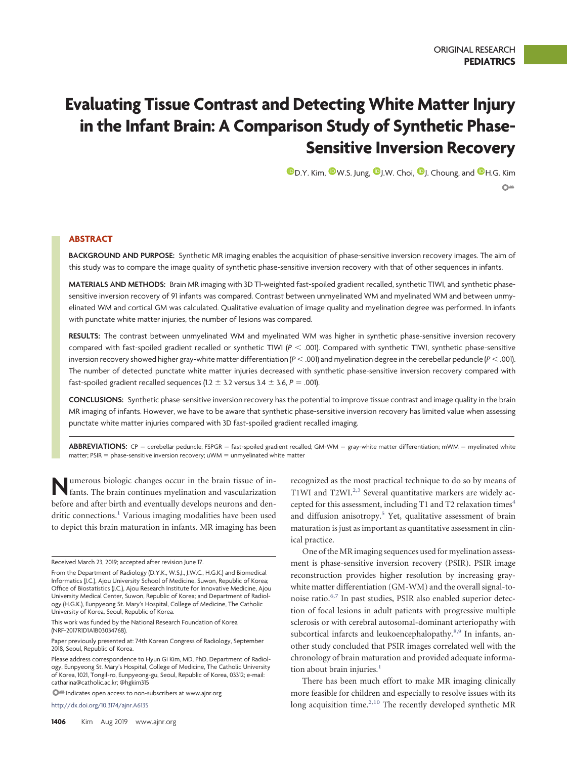# **Evaluating Tissue Contrast and Detecting White Matter Injury in the Infant Brain: A Comparison Study of Synthetic Phase-Sensitive Inversion Recovery**

 $\mathbf{\mathbb{D}}$ [D.Y. Kim,](https://orcid.org/0000-0002-4141-6032)  $\mathbf{\mathbb{D}}$ [W.S. Jung,](https://orcid.org/0000-0002-0727-3744)  $\mathbf{\mathbb{D}}$  [J.W. Choi,](https://orcid.org/0000-0002-2396-4705)  $\mathbf{\mathbb{D}}$  [J. Choung,](https://orcid.org/0000-0002-5333-2637) and  $\mathbf{\mathbb{D}}$  [H.G. Kim](https://orcid.org/0000-0002-3403-1599)  $\Omega$  =

# **ABSTRACT**

**BACKGROUND AND PURPOSE:** Synthetic MR imaging enables the acquisition of phase-sensitive inversion recovery images. The aim of this study was to compare the image quality of synthetic phase-sensitive inversion recovery with that of other sequences in infants.

MATERIALS AND METHODS: Brain MR imaging with 3D T1-weighted fast-spoiled gradient recalled, synthetic TIWI, and synthetic phasesensitive inversion recovery of 91 infants was compared. Contrast between unmyelinated WM and myelinated WM and between unmyelinated WM and cortical GM was calculated. Qualitative evaluation of image quality and myelination degree was performed. In infants with punctate white matter injuries, the number of lesions was compared.

**RESULTS:** The contrast between unmyelinated WM and myelinated WM was higher in synthetic phase-sensitive inversion recovery compared with fast-spoiled gradient recalled or synthetic T1WI (*P* - .001). Compared with synthetic T1WI, synthetic phase-sensitive inversion recovery showed higher gray-white matter differentiation ( $P$  < .001) and myelination degree in the cerebellar peduncle ( $P$  < .001). The number of detected punctate white matter injuries decreased with synthetic phase-sensitive inversion recovery compared with fast-spoiled gradient recalled sequences (1.2  $\pm$  3.2 versus 3.4  $\pm$  3.6, *P* = .001).

**CONCLUSIONS:** Synthetic phase-sensitive inversion recovery has the potential to improve tissue contrast and image quality in the brain MR imaging of infants. However, we have to be aware that synthetic phase-sensitive inversion recovery has limited value when assessing punctate white matter injuries compared with 3D fast-spoiled gradient recalled imaging.

ABBREVIATIONS: CP = cerebellar peduncle; FSPGR = fast-spoiled gradient recalled; GM-WM = gray-white matter differentiation; mWM = myelinated white matter; PSIR = phase-sensitive inversion recovery; uWM = unmyelinated white matter

**Numerous biologic changes occur in the brain tissue of in-<br>fants. The brain continues myelination and vascularization** before and after birth and eventually develops neurons and dendritic connections.<sup>1</sup> Various imaging modalities have been used to depict this brain maturation in infants. MR imaging has been

This work was funded by the National Research Foundation of Korea (NRF-2017R1D1A1B03034768).

Please address correspondence to Hyun Gi Kim, MD, PhD, Department of Radiology, Eunpyeong St. Mary's Hospital, College of Medicine, The Catholic University of Korea, 1021, Tongil-ro, Eunpyeong-gu, Seoul, Republic of Korea, 03312; e-mail: catharina@catholic.ac.kr; [@hgkim315](https://twitter.com/hgkim315)

**O<sup>nta</sup>** Indicates open access to non-subscribers at www.ajnr.org

http://dx.doi.org/10.3174/ajnr.A6135

recognized as the most practical technique to do so by means of T1WI and T2WI.<sup>2,[3](#page-5-2)</sup> Several quantitative markers are widely accepted for this assessment, including T1 and T2 relaxation times<sup>4</sup> and diffusion anisotropy.<sup>5</sup> Yet, qualitative assessment of brain maturation is just as important as quantitative assessment in clinical practice.

One of the MR imaging sequences used for myelination assessment is phase-sensitive inversion recovery (PSIR). PSIR image reconstruction provides higher resolution by increasing graywhite matter differentiation (GM-WM) and the overall signal-tonoise ratio[.6,](#page-5-5)[7](#page-5-6) In past studies, PSIR also enabled superior detection of focal lesions in adult patients with progressive multiple sclerosis or with cerebral autosomal-dominant arteriopathy with subcortical infarcts and leukoencephalopathy.<sup>8,[9](#page-5-8)</sup> In infants, another study concluded that PSIR images correlated well with the chronology of brain maturation and provided adequate information about brain injuries. $<sup>1</sup>$ </sup>

There has been much effort to make MR imaging clinically more feasible for children and especially to resolve issues with its long acquisition time.<sup>2,[10](#page-5-9)</sup> The recently developed synthetic MR

Received March 23, 2019; accepted after revision June 17.

From the Department of Radiology (D.Y.K., W.S.J., J.W.C., H.G.K.) and Biomedical Informatics (J.C.), Ajou University School of Medicine, Suwon, Republic of Korea; Office of Biostatistics (J.C.), Ajou Research Institute for Innovative Medicine, Ajou University Medical Center, Suwon, Republic of Korea; and Department of Radiology (H.G.K.), Eunpyeong St. Mary's Hospital, College of Medicine, The Catholic University of Korea, Seoul, Republic of Korea.

Paper previously presented at: 74th Korean Congress of Radiology, September 2018, Seoul, Republic of Korea.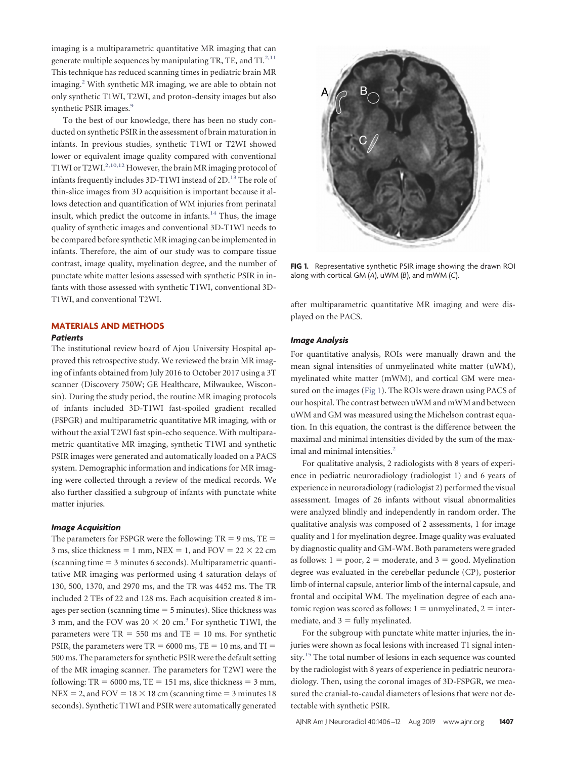imaging is a multiparametric quantitative MR imaging that can generate multiple sequences by manipulating TR, TE, and  $TI^{2,11}$  $TI^{2,11}$  $TI^{2,11}$ This technique has reduced scanning times in pediatric brain MR imaging.<sup>2</sup> With synthetic MR imaging, we are able to obtain not only synthetic T1WI, T2WI, and proton-density images but also synthetic PSIR images.<sup>9</sup>

To the best of our knowledge, there has been no study conducted on synthetic PSIR in the assessment of brain maturation in infants. In previous studies, synthetic T1WI or T2WI showed lower or equivalent image quality compared with conventional T1WI or T2WI.<sup>2,[10,](#page-5-9)[12](#page-5-11)</sup> However, the brain MR imaging protocol of infants frequently includes 3D-T1WI instead of 2D.<sup>13</sup> The role of thin-slice images from 3D acquisition is important because it allows detection and quantification of WM injuries from perinatal insult, which predict the outcome in infants. $14$  Thus, the image quality of synthetic images and conventional 3D-T1WI needs to be compared before synthetic MR imaging can be implemented in infants. Therefore, the aim of our study was to compare tissue contrast, image quality, myelination degree, and the number of punctate white matter lesions assessed with synthetic PSIR in infants with those assessed with synthetic T1WI, conventional 3D-T1WI, and conventional T2WI.

# **MATERIALS AND METHODS**

## *Patients*

The institutional review board of Ajou University Hospital approved this retrospective study. We reviewed the brain MR imaging of infants obtained from July 2016 to October 2017 using a 3T scanner (Discovery 750W; GE Healthcare, Milwaukee, Wisconsin). During the study period, the routine MR imaging protocols of infants included 3D-T1WI fast-spoiled gradient recalled (FSPGR) and multiparametric quantitative MR imaging, with or without the axial T2WI fast spin-echo sequence. With multiparametric quantitative MR imaging, synthetic T1WI and synthetic PSIR images were generated and automatically loaded on a PACS system. Demographic information and indications for MR imaging were collected through a review of the medical records. We also further classified a subgroup of infants with punctate white matter injuries.

#### *Image Acquisition*

The parameters for FSPGR were the following:  $TR = 9$  ms,  $TE =$ 3 ms, slice thickness = 1 mm, NEX = 1, and FOV =  $22 \times 22$  cm  $(scanning time = 3 minutes 6 seconds). Multiparametric quanti$ tative MR imaging was performed using 4 saturation delays of 130, 500, 1370, and 2970 ms, and the TR was 4452 ms. The TR included 2 TEs of 22 and 128 ms. Each acquisition created 8 images per section (scanning time  $=$  5 minutes). Slice thickness was 3 mm, and the FOV was  $20 \times 20$  cm.<sup>3</sup> For synthetic T1WI, the parameters were  $TR = 550$  ms and  $TE = 10$  ms. For synthetic PSIR, the parameters were  $TR = 6000$  ms,  $TE = 10$  ms, and  $TI =$ 500 ms. The parameters for synthetic PSIR were the default setting of the MR imaging scanner. The parameters for T2WI were the following:  $TR = 6000$  ms,  $TE = 151$  ms, slice thickness = 3 mm, NEX = 2, and FOV =  $18 \times 18$  cm (scanning time = 3 minutes 18 seconds). Synthetic T1WI and PSIR were automatically generated

<span id="page-1-0"></span>

**FIG 1.** Representative synthetic PSIR image showing the drawn ROI along with cortical GM (*A*), uWM (*B*), and mWM (*C*).

after multiparametric quantitative MR imaging and were displayed on the PACS.

#### *Image Analysis*

For quantitative analysis, ROIs were manually drawn and the mean signal intensities of unmyelinated white matter (uWM), myelinated white matter (mWM), and cortical GM were measured on the images [\(Fig 1\)](#page-1-0). The ROIs were drawn using PACS of our hospital. The contrast between uWM and mWM and between uWM and GM was measured using the Michelson contrast equation. In this equation, the contrast is the difference between the maximal and minimal intensities divided by the sum of the maximal and minimal intensities.<sup>2</sup>

For qualitative analysis, 2 radiologists with 8 years of experience in pediatric neuroradiology (radiologist 1) and 6 years of experience in neuroradiology (radiologist 2) performed the visual assessment. Images of 26 infants without visual abnormalities were analyzed blindly and independently in random order. The qualitative analysis was composed of 2 assessments, 1 for image quality and 1 for myelination degree. Image quality was evaluated by diagnostic quality and GM-WM. Both parameters were graded as follows:  $1 = poor$ ,  $2 = moderate$ , and  $3 = good$ . Myelination degree was evaluated in the cerebellar peduncle (CP), posterior limb of internal capsule, anterior limb of the internal capsule, and frontal and occipital WM. The myelination degree of each anatomic region was scored as follows:  $1 =$  unmyelinated,  $2 =$  intermediate, and  $3 =$  fully myelinated.

For the subgroup with punctate white matter injuries, the injuries were shown as focal lesions with increased T1 signal intensity.<sup>15</sup> The total number of lesions in each sequence was counted by the radiologist with 8 years of experience in pediatric neuroradiology. Then, using the coronal images of 3D-FSPGR, we measured the cranial-to-caudal diameters of lesions that were not detectable with synthetic PSIR.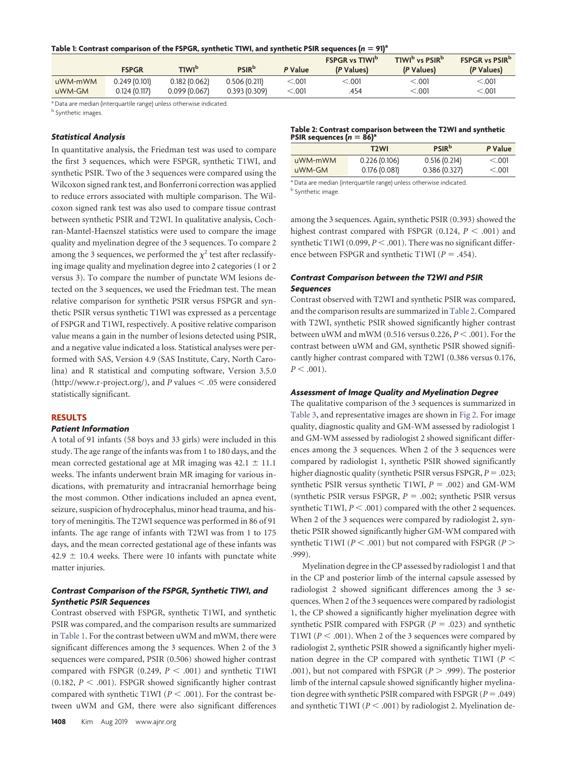## <span id="page-2-0"></span>Table 1: Contrast comparison of the FSPGR, synthetic T1WI, and synthetic PSIR sequences  $(n = 91)^a$

|         | <b>FSPGR</b>  | TIWI <sup>b</sup> | <b>PSIR</b> <sup>b</sup> | P Value  | <b>FSPGR vs TIWID</b><br>(P Values) | TIWI <sup>b</sup> vs PSIR <sup>b</sup><br>(P Values) | <b>FSPGR vs PSIR<sup>b</sup></b><br>(P Values) |
|---------|---------------|-------------------|--------------------------|----------|-------------------------------------|------------------------------------------------------|------------------------------------------------|
| uWM-mWM | 0.249(0.101)  | 0.182 (0.062)     | 0.506(0.211)             | < 0.001  | < 0.01                              | < 001                                                | $.001$                                         |
| uWM-GM  | 0.124 (0.117) | 0.099(0.067)      | 0.393(0.309)             | $<$ .001 | .454                                | $<$ .001                                             | < 0.001                                        |

<sup>a</sup> Data are median (interquartile range) unless otherwise indicated

**b** Synthetic images.

## *Statistical Analysis*

In quantitative analysis, the Friedman test was used to compare the first 3 sequences, which were FSPGR, synthetic T1WI, and synthetic PSIR. Two of the 3 sequences were compared using the Wilcoxon signed rank test, and Bonferroni correction was applied to reduce errors associated with multiple comparison. The Wilcoxon signed rank test was also used to compare tissue contrast between synthetic PSIR and T2WI. In qualitative analysis, Cochran-Mantel-Haenszel statistics were used to compare the image quality and myelination degree of the 3 sequences. To compare 2 among the 3 sequences, we performed the  $\chi^2$  test after reclassifying image quality and myelination degree into 2 categories (1 or 2 versus 3). To compare the number of punctate WM lesions detected on the 3 sequences, we used the Friedman test. The mean relative comparison for synthetic PSIR versus FSPGR and synthetic PSIR versus synthetic T1WI was expressed as a percentage of FSPGR and T1WI, respectively. A positive relative comparison value means a gain in the number of lesions detected using PSIR, and a negative value indicated a loss. Statistical analyses were performed with SAS, Version 4.9 (SAS Institute, Cary, North Carolina) and R statistical and computing software, Version 3.5.0  $(\text{http://www.r-project.org/}),$  and *P* values  $\leq$  .05 were considered statistically significant.

## **RESULTS**

## *Patient Information*

A total of 91 infants (58 boys and 33 girls) were included in this study. The age range of the infants was from 1 to 180 days, and the mean corrected gestational age at MR imaging was  $42.1 \pm 11.1$ weeks. The infants underwent brain MR imaging for various indications, with prematurity and intracranial hemorrhage being the most common. Other indications included an apnea event, seizure, suspicion of hydrocephalus, minor head trauma, and history of meningitis. The T2WI sequence was performed in 86 of 91 infants. The age range of infants with T2WI was from 1 to 175 days, and the mean corrected gestational age of these infants was  $42.9 \pm 10.4$  weeks. There were 10 infants with punctate white matter injuries.

## *Contrast Comparison of the FSPGR, Synthetic T1WI, and Synthetic PSIR Sequences*

Contrast observed with FSPGR, synthetic T1WI, and synthetic PSIR was compared, and the comparison results are summarized in [Table 1.](#page-2-0) For the contrast between uWM and mWM, there were significant differences among the 3 sequences. When 2 of the 3 sequences were compared, PSIR (0.506) showed higher contrast compared with FSPGR  $(0.249, P < .001)$  and synthetic T1WI  $(0.182, P < .001)$ . FSPGR showed significantly higher contrast compared with synthetic T1WI ( $P < .001$ ). For the contrast between uWM and GM, there were also significant differences

#### <span id="page-2-1"></span>**Table 2: Contrast comparison between the T2WI and synthetic PSIR sequences (***n* = 86)<sup>a</sup>

|         | T2WI         | <b>PSIR</b> b | P Value |
|---------|--------------|---------------|---------|
| uWM-mWM | 0.226(0.106) | 0.516(0.214)  | < 0.001 |
| uWM-GM  | 0.176(0.081) | 0.386(0.327)  | < 0.001 |
|         |              |               |         |

a Data are median (interquartile range) unless otherwise indicated. **b** Synthetic image.

among the 3 sequences. Again, synthetic PSIR (0.393) showed the highest contrast compared with FSPGR  $(0.124, P < .001)$  and synthetic T1WI (0.099,  $P < .001$ ). There was no significant difference between FSPGR and synthetic T1WI ( $P = .454$ ).

## *Contrast Comparison between the T2WI and PSIR Sequences*

Contrast observed with T2WI and synthetic PSIR was compared, and the comparison results are summarized in [Table 2.](#page-2-1) Compared with T2WI, synthetic PSIR showed significantly higher contrast between uWM and mWM (0.516 versus  $0.226, P < .001$ ). For the contrast between uWM and GM, synthetic PSIR showed significantly higher contrast compared with T2WI (0.386 versus 0.176,  $P < .001$ ).

# *Assessment of Image Quality and Myelination Degree*

The qualitative comparison of the 3 sequences is summarized in [Table 3,](#page-3-0) and representative images are shown in [Fig 2.](#page-3-1) For image quality, diagnostic quality and GM-WM assessed by radiologist 1 and GM-WM assessed by radiologist 2 showed significant differences among the 3 sequences. When 2 of the 3 sequences were compared by radiologist 1, synthetic PSIR showed significantly higher diagnostic quality (synthetic PSIR versus FSPGR,  $P = .023$ ; synthetic PSIR versus synthetic T1WI,  $P = .002$ ) and GM-WM (synthetic PSIR versus FSPGR,  $P = .002$ ; synthetic PSIR versus synthetic T1WI,  $P < .001$ ) compared with the other 2 sequences. When 2 of the 3 sequences were compared by radiologist 2, synthetic PSIR showed significantly higher GM-WM compared with synthetic T1WI ( $P < .001$ ) but not compared with FSPGR ( $P >$ .999).

Myelination degree in the CP assessed by radiologist 1 and that in the CP and posterior limb of the internal capsule assessed by radiologist 2 showed significant differences among the 3 sequences. When 2 of the 3 sequences were compared by radiologist 1, the CP showed a significantly higher myelination degree with synthetic PSIR compared with FSPGR  $(P = .023)$  and synthetic T1WI ( $P < .001$ ). When 2 of the 3 sequences were compared by radiologist 2, synthetic PSIR showed a significantly higher myelination degree in the CP compared with synthetic T1WI ( $P$  < .001), but not compared with FSPGR ( $P > .999$ ). The posterior limb of the internal capsule showed significantly higher myelination degree with synthetic PSIR compared with FSPGR  $(P = .049)$ and synthetic T1WI ( $P < .001$ ) by radiologist 2. Myelination de-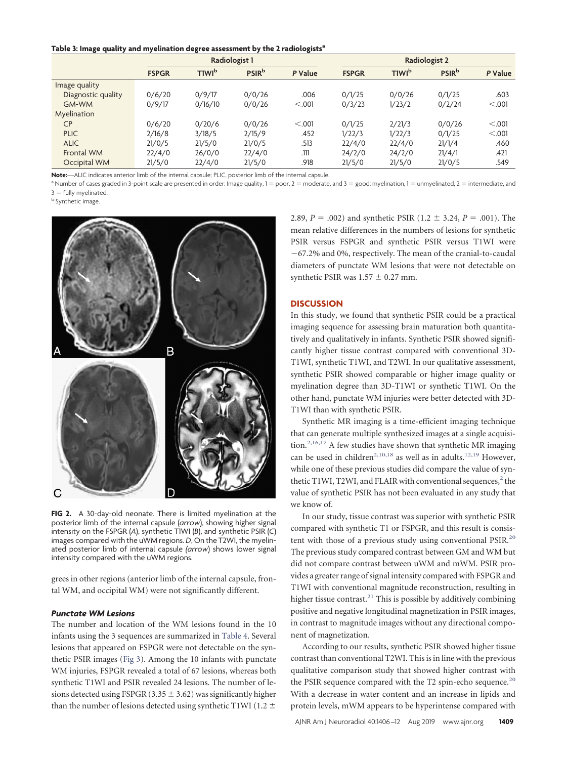#### <span id="page-3-0"></span>**Table 3: Image quality and myelination degree assessment by the 2 radiologistsa**

|                    | Radiologist 1 |                          |               |         | Radiologist 2 |                          |               |         |
|--------------------|---------------|--------------------------|---------------|---------|---------------|--------------------------|---------------|---------|
|                    | <b>FSPGR</b>  | <b>TIWI</b> <sup>b</sup> | <b>PSIR</b> b | P Value | <b>FSPGR</b>  | <b>TIWI</b> <sup>b</sup> | <b>PSIR</b> b | P Value |
| Image quality      |               |                          |               |         |               |                          |               |         |
| Diagnostic quality | 0/6/20        | 0/9/17                   | 0/0/26        | .006    | 0/1/25        | 0/0/26                   | 0/1/25        | .603    |
| GM-WM              | 0/9/17        | 0/16/10                  | 0/0/26        | < 0.001 | 0/3/23        | 1/23/2                   | 0/2/24        | < 0.001 |
| Myelination        |               |                          |               |         |               |                          |               |         |
| <b>CP</b>          | 0/6/20        | 0/20/6                   | 0/0/26        | < 0.001 | 0/1/25        | 2/21/3                   | 0/0/26        | < 0.001 |
| <b>PLIC</b>        | 2/16/8        | 3/18/5                   | 2/15/9        | .452    | 1/22/3        | 1/22/3                   | 0/1/25        | < 0.001 |
| <b>ALIC</b>        | 21/0/5        | 21/5/0                   | 21/0/5        | .513    | 22/4/0        | 22/4/0                   | 21/1/4        | .460    |
| Frontal WM         | 22/4/0        | 26/0/0                   | 22/4/0        | .111    | 24/2/0        | 24/2/0                   | 21/4/1        | .421    |
| Occipital WM       | 21/5/0        | 22/4/0                   | 21/5/0        | .918    | 21/5/0        | 21/5/0                   | 21/0/5        | .549    |

**Note:**—ALIC indicates anterior limb of the internal capsule; PLIC, posterior limb of the internal capsule.

<sup>a</sup> Number of cases graded in 3-point scale are presented in order: Image quality, 1 = poor, 2 = moderate, and 3 = good; myelination, 1 = unmyelinated, 2 = intermediate, and  $3$  = fully myelinated.

<sup>b</sup> Synthetic image.

<span id="page-3-1"></span>

**FIG 2.** A 30-day-old neonate. There is limited myelination at the posterior limb of the internal capsule (*arrow*), showing higher signal intensity on the FSPGR (*A*), synthetic T1WI (*B*), and synthetic PSIR (*C*) images compared with the uWM regions. *D*, On the T2WI, the myelinated posterior limb of internal capsule *(arrow*) shows lower signal intensity compared with the uWM regions.

grees in other regions (anterior limb of the internal capsule, frontal WM, and occipital WM) were not significantly different.

# *Punctate WM Lesions*

The number and location of the WM lesions found in the 10 infants using the 3 sequences are summarized in [Table 4.](#page-4-0) Several lesions that appeared on FSPGR were not detectable on the synthetic PSIR images [\(Fig 3\)](#page-4-1). Among the 10 infants with punctate WM injuries, FSPGR revealed a total of 67 lesions, whereas both synthetic T1WI and PSIR revealed 24 lesions. The number of lesions detected using FSPGR (3.35  $\pm$  3.62) was significantly higher than the number of lesions detected using synthetic T1WI (1.2  $\pm$ 

2.89, *P* = .002) and synthetic PSIR (1.2  $\pm$  3.24, *P* = .001). The mean relative differences in the numbers of lesions for synthetic PSIR versus FSPGR and synthetic PSIR versus T1WI were 67.2% and 0%, respectively. The mean of the cranial-to-caudal diameters of punctate WM lesions that were not detectable on synthetic PSIR was  $1.57 \pm 0.27$  mm.

#### **DISCUSSION**

In this study, we found that synthetic PSIR could be a practical imaging sequence for assessing brain maturation both quantitatively and qualitatively in infants. Synthetic PSIR showed significantly higher tissue contrast compared with conventional 3D-T1WI, synthetic T1WI, and T2WI. In our qualitative assessment, synthetic PSIR showed comparable or higher image quality or myelination degree than 3D-T1WI or synthetic T1WI. On the other hand, punctate WM injuries were better detected with 3D-T1WI than with synthetic PSIR.

Synthetic MR imaging is a time-efficient imaging technique that can generate multiple synthesized images at a single acquisi-tion.<sup>2,[16,](#page-5-15)[17](#page-5-16)</sup> A few studies have shown that synthetic MR imaging can be used in children<sup>2,[10,](#page-5-9)[18](#page-5-17)</sup> as well as in adults.<sup>12,[19](#page-5-18)</sup> However, while one of these previous studies did compare the value of synthetic T1WI, T2WI, and FLAIR with conventional sequences, $2$  the value of synthetic PSIR has not been evaluated in any study that we know of.

In our study, tissue contrast was superior with synthetic PSIR compared with synthetic T1 or FSPGR, and this result is consistent with those of a previous study using conventional PSIR.<sup>20</sup> The previous study compared contrast between GM and WM but did not compare contrast between uWM and mWM. PSIR provides a greater range of signal intensity compared with FSPGR and T1WI with conventional magnitude reconstruction, resulting in higher tissue contrast.<sup>21</sup> This is possible by additively combining positive and negative longitudinal magnetization in PSIR images, in contrast to magnitude images without any directional component of magnetization.

According to our results, synthetic PSIR showed higher tissue contrast than conventional T2WI. This is in line with the previous qualitative comparison study that showed higher contrast with the PSIR sequence compared with the T2 spin-echo sequence. $20$ With a decrease in water content and an increase in lipids and protein levels, mWM appears to be hyperintense compared with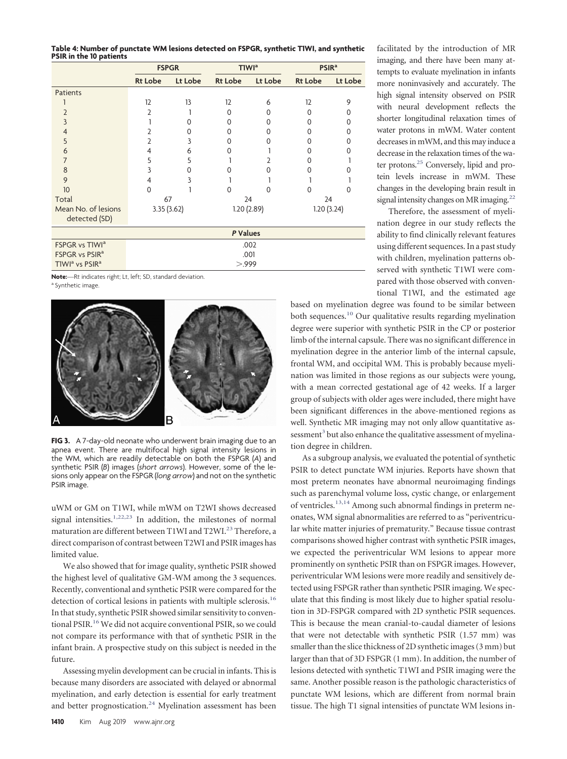<span id="page-4-0"></span>**Table 4: Number of punctate WM lesions detected on FSPGR, synthetic T1WI, and synthetic PSIR in the 10 patients**

|                                        | <b>FSPGR</b>   |            |                | T1WI <sup>a</sup> | PSIR <sup>a</sup> |          |  |  |
|----------------------------------------|----------------|------------|----------------|-------------------|-------------------|----------|--|--|
|                                        | <b>Rt Lobe</b> | Lt Lobe    | <b>Rt Lobe</b> | Lt Lobe           | <b>Rt Lobe</b>    | Lt Lobe  |  |  |
| Patients                               |                |            |                |                   |                   |          |  |  |
|                                        | 12             | 13         | 12             | 6                 | 12                | 9        |  |  |
| 2                                      | 2              |            | 0              | O                 | $\Omega$          | 0        |  |  |
| 3                                      |                | $\Omega$   | $\Omega$       | Ω                 | ∩                 | Ω        |  |  |
| 4                                      | 2              | $\Omega$   | 0              | U                 | $\Omega$          | $\Omega$ |  |  |
| 5                                      |                | 3          | $\Omega$       |                   | O                 |          |  |  |
| 6                                      | 4              | 6          | $\Omega$       |                   | O                 |          |  |  |
|                                        | 5              | 5          |                |                   |                   |          |  |  |
| 8                                      |                | U          |                |                   | U                 |          |  |  |
| 9                                      | 4              | 3          |                |                   |                   |          |  |  |
| 10                                     | $\Omega$       |            | $\Omega$       | U                 | ∩                 | ∩        |  |  |
| Total                                  | 67             |            |                | 24                |                   | 24       |  |  |
| Mean No. of lesions<br>detected (SD)   |                | 3.35(3.62) |                | 1.20(2.89)        | 1.20(3.24)        |          |  |  |
|                                        | P Values       |            |                |                   |                   |          |  |  |
| FSPGR vs TIWI <sup>a</sup>             | .002           |            |                |                   |                   |          |  |  |
| FSPGR vs PSIR <sup>a</sup>             | .001           |            |                |                   |                   |          |  |  |
| TIWI <sup>a</sup> vs PSIR <sup>a</sup> | > 999          |            |                |                   |                   |          |  |  |

**Note:**—Rt indicates right; Lt, left; SD, standard deviation.

a Synthetic image

<span id="page-4-1"></span>

**FIG 3.** A 7-day-old neonate who underwent brain imaging due to an apnea event. There are multifocal high signal intensity lesions in the WM, which are readily detectable on both the FSPGR (*A*) and synthetic PSIR (*B*) images (*short arrows*). However, some of the lesions only appear on the FSPGR (*long arrow*) and not on the synthetic PSIR image.

uWM or GM on T1WI, while mWM on T2WI shows decreased signal intensities.<sup>1,[22,](#page-5-21)[23](#page-5-22)</sup> In addition, the milestones of normal maturation are different between T1WI and T2WI.<sup>23</sup> Therefore, a direct comparison of contrast between T2WI and PSIR images has limited value.

We also showed that for image quality, synthetic PSIR showed the highest level of qualitative GM-WM among the 3 sequences. Recently, conventional and synthetic PSIR were compared for the detection of cortical lesions in patients with multiple sclerosis.<sup>16</sup> In that study, synthetic PSIR showed similar sensitivity to conventional PSIR[.16](#page-5-15)We did not acquire conventional PSIR, so we could not compare its performance with that of synthetic PSIR in the infant brain. A prospective study on this subject is needed in the future.

Assessing myelin development can be crucial in infants. This is because many disorders are associated with delayed or abnormal myelination, and early detection is essential for early treatment and better prognostication.<sup>24</sup> Myelination assessment has been

facilitated by the introduction of MR imaging, and there have been many attempts to evaluate myelination in infants more noninvasively and accurately. The high signal intensity observed on PSIR with neural development reflects the shorter longitudinal relaxation times of water protons in mWM. Water content decreases in mWM, and this may induce a decrease in the relaxation times of the water protons.<sup>25</sup> Conversely, lipid and protein levels increase in mWM. These changes in the developing brain result in signal intensity changes on MR imaging.<sup>22</sup>

Therefore, the assessment of myelination degree in our study reflects the ability to find clinically relevant features using different sequences. In a past study with children, myelination patterns observed with synthetic T1WI were compared with those observed with conventional T1WI, and the estimated age

based on myelination degree was found to be similar between both sequences.<sup>10</sup> Our qualitative results regarding myelination degree were superior with synthetic PSIR in the CP or posterior limb of the internal capsule. There was no significant difference in myelination degree in the anterior limb of the internal capsule, frontal WM, and occipital WM. This is probably because myelination was limited in those regions as our subjects were young, with a mean corrected gestational age of 42 weeks. If a larger group of subjects with older ages were included, there might have been significant differences in the above-mentioned regions as well. Synthetic MR imaging may not only allow quantitative assessment<sup>3</sup> but also enhance the qualitative assessment of myelination degree in children.

As a subgroup analysis, we evaluated the potential of synthetic PSIR to detect punctate WM injuries. Reports have shown that most preterm neonates have abnormal neuroimaging findings such as parenchymal volume loss, cystic change, or enlargement of ventricles[.13,](#page-5-12)[14](#page-5-13) Among such abnormal findings in preterm neonates, WM signal abnormalities are referred to as "periventricular white matter injuries of prematurity." Because tissue contrast comparisons showed higher contrast with synthetic PSIR images, we expected the periventricular WM lesions to appear more prominently on synthetic PSIR than on FSPGR images. However, periventricular WM lesions were more readily and sensitively detected using FSPGR rather than synthetic PSIR imaging. We speculate that this finding is most likely due to higher spatial resolution in 3D-FSPGR compared with 2D synthetic PSIR sequences. This is because the mean cranial-to-caudal diameter of lesions that were not detectable with synthetic PSIR (1.57 mm) was smaller than the slice thickness of 2D synthetic images (3 mm) but larger than that of 3D FSPGR (1 mm). In addition, the number of lesions detected with synthetic T1WI and PSIR imaging were the same. Another possible reason is the pathologic characteristics of punctate WM lesions, which are different from normal brain tissue. The high T1 signal intensities of punctate WM lesions in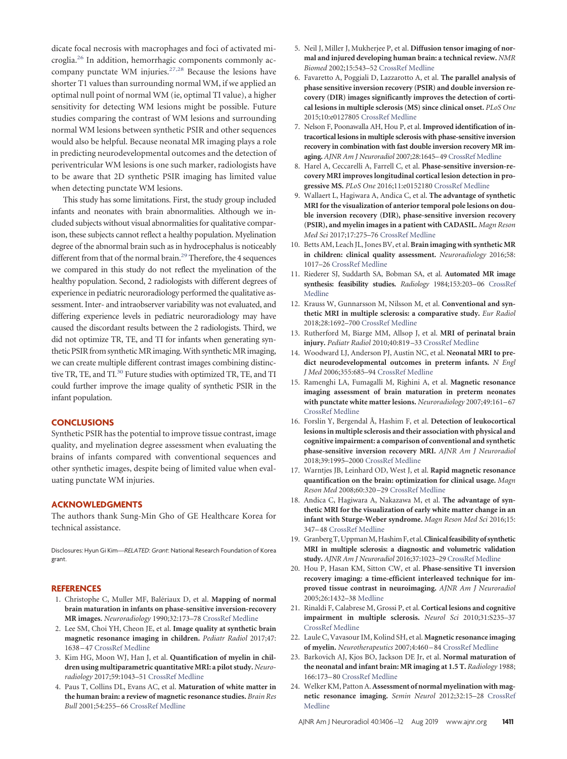dicate focal necrosis with macrophages and foci of activated microglia[.26](#page-6-1) In addition, hemorrhagic components commonly ac-company punctate WM injuries.<sup>27,[28](#page-6-3)</sup> Because the lesions have shorter T1 values than surrounding normal WM, if we applied an optimal null point of normal WM (ie, optimal TI value), a higher sensitivity for detecting WM lesions might be possible. Future studies comparing the contrast of WM lesions and surrounding normal WM lesions between synthetic PSIR and other sequences would also be helpful. Because neonatal MR imaging plays a role in predicting neurodevelopmental outcomes and the detection of periventricular WM lesions is one such marker, radiologists have to be aware that 2D synthetic PSIR imaging has limited value when detecting punctate WM lesions.

This study has some limitations. First, the study group included infants and neonates with brain abnormalities. Although we included subjects without visual abnormalities for qualitative comparison, these subjects cannot reflect a healthy population. Myelination degree of the abnormal brain such as in hydrocephalus is noticeably different from that of the normal brain.<sup>29</sup> Therefore, the 4 sequences we compared in this study do not reflect the myelination of the healthy population. Second, 2 radiologists with different degrees of experience in pediatric neuroradiology performed the qualitative assessment. Inter- and intraobserver variability was not evaluated, and differing experience levels in pediatric neuroradiology may have caused the discordant results between the 2 radiologists. Third, we did not optimize TR, TE, and TI for infants when generating synthetic PSIR from synthetic MR imaging. With synthetic MR imaging, we can create multiple different contrast images combining distinctive TR, TE, and TI.<sup>30</sup> Future studies with optimized TR, TE, and TI could further improve the image quality of synthetic PSIR in the infant population.

#### **CONCLUSIONS**

Synthetic PSIR has the potential to improve tissue contrast, image quality, and myelination degree assessment when evaluating the brains of infants compared with conventional sequences and other synthetic images, despite being of limited value when evaluating punctate WM injuries.

#### **ACKNOWLEDGMENTS**

The authors thank Sung-Min Gho of GE Healthcare Korea for technical assistance.

Disclosures: Hyun Gi Kim—*RELATED*: *Grant*: National Research Foundation of Korea grant.

#### <span id="page-5-0"></span>**REFERENCES**

- 1. Christophe C, Muller MF, Balériaux D, et al. **Mapping of normal brain maturation in infants on phase-sensitive inversion-recovery MR images.** *Neuroradiology* 1990;32:173–78 [CrossRef](http://dx.doi.org/10.1007/BF00589106) [Medline](http://www.ncbi.nlm.nih.gov/pubmed/2215899)
- <span id="page-5-1"></span>2. Lee SM, Choi YH, Cheon JE, et al. **Image quality at synthetic brain magnetic resonance imaging in children.** *Pediatr Radiol* 2017;47: 1638 –47 [CrossRef](http://dx.doi.org/10.1007/s00247-017-3913-y) [Medline](http://www.ncbi.nlm.nih.gov/pubmed/28638982)
- <span id="page-5-2"></span>3. Kim HG, Moon WJ, Han J, et al. **Quantification of myelin in children using multiparametric quantitative MRI: a pilot study.** *Neuroradiology* 2017;59:1043–51 [CrossRef](http://dx.doi.org/10.1007/s00234-017-1889-9) [Medline](http://www.ncbi.nlm.nih.gov/pubmed/28765995)
- <span id="page-5-3"></span>4. Paus T, Collins DL, Evans AC, et al. **Maturation of white matter in the human brain: a review of magnetic resonance studies.** *Brain Res Bull* 2001;54:255–66 [CrossRef](http://dx.doi.org/10.1016/S0361-9230(00)00434-2) [Medline](http://www.ncbi.nlm.nih.gov/pubmed/11287130)
- <span id="page-5-4"></span>5. Neil J, Miller J, Mukherjee P, et al. **Diffusion tensor imaging of normal and injured developing human brain: a technical review.** *NMR Biomed* 2002;15:543–52 [CrossRef](http://dx.doi.org/10.1002/nbm.784) [Medline](http://www.ncbi.nlm.nih.gov/pubmed/12489100)
- <span id="page-5-5"></span>6. Favaretto A, Poggiali D, Lazzarotto A, et al. **The parallel analysis of phase sensitive inversion recovery (PSIR) and double inversion recovery (DIR) images significantly improves the detection of cortical lesions in multiple sclerosis (MS) since clinical onset.** *PLoS One* 2015;10:e0127805 [CrossRef](http://dx.doi.org/10.1371/journal.pone.0127805) [Medline](http://www.ncbi.nlm.nih.gov/pubmed/26010425)
- <span id="page-5-6"></span>7. Nelson F, Poonawalla AH, Hou P, et al. **Improved identification of intracortical lesions in multiple sclerosis with phase-sensitive inversion recovery in combination with fast double inversion recovery MR imaging.** *AJNR Am J Neuroradiol* 2007;28:1645–49 [CrossRef](http://dx.doi.org/10.3174/ajnr.A0645) [Medline](http://www.ncbi.nlm.nih.gov/pubmed/17885241)
- <span id="page-5-7"></span>8. Harel A, Ceccarelli A, Farrell C, et al. **Phase-sensitive inversion-recovery MRI improves longitudinal cortical lesion detection in progressive MS.** *PLoS One* 2016;11:e0152180 [CrossRef](http://dx.doi.org/10.1371/journal.pone.0152180) [Medline](http://www.ncbi.nlm.nih.gov/pubmed/27002529)
- <span id="page-5-8"></span>9. Wallaert L, Hagiwara A, Andica C, et al. **The advantage of synthetic MRI for the visualization of anterior temporal pole lesions on double inversion recovery (DIR), phase-sensitive inversion recovery (PSIR), and myelin images in a patient with CADASIL.** *Magn Reson Med Sci* 2017;17:275–76 [CrossRef](http://dx.doi.org/10.2463/mrms.ci.2017-0110) [Medline](http://www.ncbi.nlm.nih.gov/pubmed/29238005)
- <span id="page-5-9"></span>10. Betts AM, Leach JL, Jones BV, et al. **Brain imaging with synthetic MR in children: clinical quality assessment.** *Neuroradiology* 2016;58: 1017–26 [CrossRef](http://dx.doi.org/10.1007/s00234-016-1723-9) [Medline](http://www.ncbi.nlm.nih.gov/pubmed/27438803)
- <span id="page-5-10"></span>11. Riederer SJ, Suddarth SA, Bobman SA, et al. **Automated MR image synthesis: feasibility studies.** *Radiology* 1984;153:203–06 [CrossRef](http://dx.doi.org/10.1148/radiology.153.1.6089265) [Medline](http://www.ncbi.nlm.nih.gov/pubmed/6089265)
- <span id="page-5-11"></span>12. Krauss W, Gunnarsson M, Nilsson M, et al. **Conventional and synthetic MRI in multiple sclerosis: a comparative study.** *Eur Radiol* 2018;28:1692–700 [CrossRef](http://dx.doi.org/10.1007/s00330-017-5100-9) [Medline](http://www.ncbi.nlm.nih.gov/pubmed/29134354)
- <span id="page-5-12"></span>13. Rutherford M, Biarge MM, Allsop J, et al. **MRI of perinatal brain injury.** *Pediatr Radiol* 2010;40:819 –33 [CrossRef](http://dx.doi.org/10.1007/s00247-010-1620-z) [Medline](http://www.ncbi.nlm.nih.gov/pubmed/20432000)
- <span id="page-5-13"></span>14. Woodward LJ, Anderson PJ, Austin NC, et al. **Neonatal MRI to predict neurodevelopmental outcomes in preterm infants.** *N Engl J Med* 2006;355:685–94 [CrossRef](http://dx.doi.org/10.1056/NEJMoa053792) [Medline](http://www.ncbi.nlm.nih.gov/pubmed/16914704)
- <span id="page-5-14"></span>15. Ramenghi LA, Fumagalli M, Righini A, et al. **Magnetic resonance imaging assessment of brain maturation in preterm neonates with punctate white matter lesions.** *Neuroradiology* 2007;49:161–67 [CrossRef](http://dx.doi.org/10.1007/s00234-006-0176-y) [Medline](http://www.ncbi.nlm.nih.gov/pubmed/17119946)
- <span id="page-5-15"></span>16. Forslin Y, Bergendal Å, Hashim F, et al. **Detection of leukocortical lesions in multiple sclerosis and their association with physical and cognitive impairment: a comparison of conventional and synthetic phase-sensitive inversion recovery MRI.** *AJNR Am J Neuroradiol* 2018;39:1995–2000 [CrossRef](http://dx.doi.org/10.3174/ajnr.A5815) [Medline](http://www.ncbi.nlm.nih.gov/pubmed/30262646)
- <span id="page-5-16"></span>17. Warntjes JB, Leinhard OD, West J, et al. **Rapid magnetic resonance quantification on the brain: optimization for clinical usage.** *Magn Reson Med* 2008;60:320 –29 [CrossRef](http://dx.doi.org/10.1002/mrm.21635) [Medline](http://www.ncbi.nlm.nih.gov/pubmed/18666127)
- <span id="page-5-17"></span>18. Andica C, Hagiwara A, Nakazawa M, et al. **The advantage of synthetic MRI for the visualization of early white matter change in an infant with Sturge-Weber syndrome.** *Magn Reson Med Sci* 2016;15: 347–48 [CrossRef](http://dx.doi.org/10.2463/mrms.ci.2015-0164) [Medline](http://www.ncbi.nlm.nih.gov/pubmed/27001386)
- <span id="page-5-18"></span>19. GranbergT,UppmanM,Hashim F, et al.**Clinical feasibility of synthetic MRI in multiple sclerosis: a diagnostic and volumetric validation study.** *AJNR Am J Neuroradiol* 2016;37:1023–29 [CrossRef](http://dx.doi.org/10.3174/ajnr.A4665) [Medline](http://www.ncbi.nlm.nih.gov/pubmed/26797137)
- <span id="page-5-19"></span>20. Hou P, Hasan KM, Sitton CW, et al. **Phase-sensitive T1 inversion recovery imaging: a time-efficient interleaved technique for improved tissue contrast in neuroimaging.** *AJNR Am J Neuroradiol* 2005;26:1432–38 [Medline](http://www.ncbi.nlm.nih.gov/pubmed/15956512)
- <span id="page-5-20"></span>21. Rinaldi F, Calabrese M, Grossi P, et al. **Cortical lesions and cognitive impairment in multiple sclerosis.** *Neurol Sci* 2010;31:S235–37 [CrossRef](http://dx.doi.org/10.1007/s10072-010-0368-4) [Medline](http://www.ncbi.nlm.nih.gov/pubmed/20635113)
- <span id="page-5-21"></span>22. Laule C, Vavasour IM, Kolind SH, et al. **Magnetic resonance imaging of myelin.** *Neurotherapeutics* 2007;4:460 –84 [CrossRef](http://dx.doi.org/10.1016/j.nurt.2007.05.004) [Medline](http://www.ncbi.nlm.nih.gov/pubmed/17599712)
- <span id="page-5-22"></span>23. Barkovich AJ, Kjos BO, Jackson DE Jr, et al. **Normal maturation of the neonatal and infant brain: MR imaging at 1.5 T.** *Radiology* 1988; 166:173–80 [CrossRef](http://dx.doi.org/10.1148/radiology.166.1.3336675) [Medline](http://www.ncbi.nlm.nih.gov/pubmed/3336675)
- <span id="page-5-23"></span>24. Welker KM, Patton A.**Assessment of normal myelination with magnetic resonance imaging.** *Semin Neurol* 2012;32:15–28 [CrossRef](http://dx.doi.org/10.1055/s-0032-1306382) [Medline](http://www.ncbi.nlm.nih.gov/pubmed/22422203)